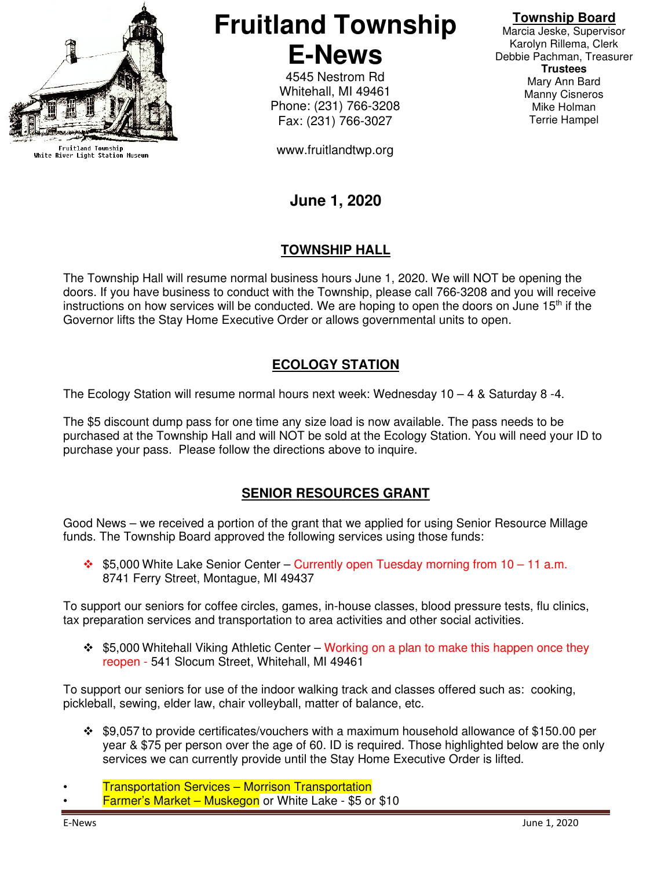

Fruitland Township<br>White River Light Station Museum

**Fruitland Township E-News** 

> 4545 Nestrom Rd Whitehall, MI 49461 Phone: (231) 766-3208 Fax: (231) 766-3027

www.fruitlandtwp.org

#### **Township Board**

Marcia Jeske, Supervisor Karolyn Rillema, Clerk Debbie Pachman, Treasurer **Trustees**  Mary Ann Bard Manny Cisneros Mike Holman Terrie Hampel

# **June 1, 2020**

### **TOWNSHIP HALL**

The Township Hall will resume normal business hours June 1, 2020. We will NOT be opening the doors. If you have business to conduct with the Township, please call 766-3208 and you will receive instructions on how services will be conducted. We are hoping to open the doors on June  $15<sup>th</sup>$  if the Governor lifts the Stay Home Executive Order or allows governmental units to open.

#### **ECOLOGY STATION**

The Ecology Station will resume normal hours next week: Wednesday  $10 - 4$  & Saturday 8 -4.

The \$5 discount dump pass for one time any size load is now available. The pass needs to be purchased at the Township Hall and will NOT be sold at the Ecology Station. You will need your ID to purchase your pass. Please follow the directions above to inquire.

## **SENIOR RESOURCES GRANT**

Good News – we received a portion of the grant that we applied for using Senior Resource Millage funds. The Township Board approved the following services using those funds:

 $\div$  \$5,000 White Lake Senior Center – Currently open Tuesday morning from 10 – 11 a.m. 8741 Ferry Street, Montague, MI 49437

To support our seniors for coffee circles, games, in-house classes, blood pressure tests, flu clinics, tax preparation services and transportation to area activities and other social activities.

 $\cdot$  \$5,000 Whitehall Viking Athletic Center – Working on a plan to make this happen once they reopen - 541 Slocum Street, Whitehall, MI 49461

To support our seniors for use of the indoor walking track and classes offered such as: cooking, pickleball, sewing, elder law, chair volleyball, matter of balance, etc.

 \$9,057 to provide certificates/vouchers with a maximum household allowance of \$150.00 per year & \$75 per person over the age of 60. ID is required. Those highlighted below are the only services we can currently provide until the Stay Home Executive Order is lifted.

**Farmer's Market – Muskegon** or White Lake - \$5 or \$10

<sup>•</sup> Transportation Services – Morrison Transportation